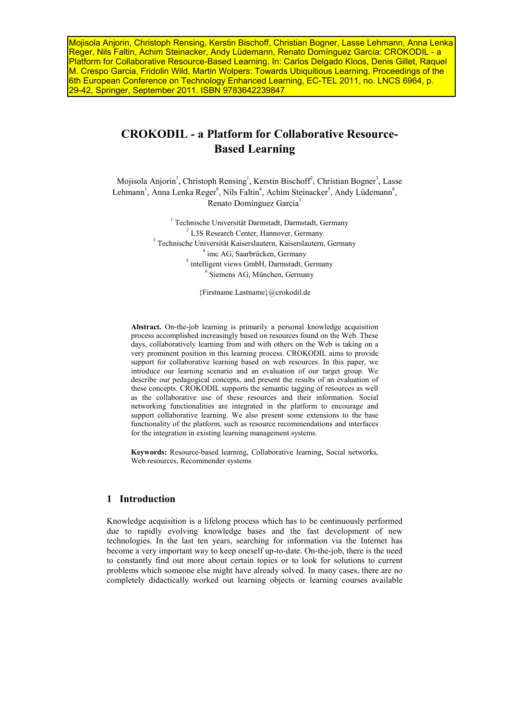Mojisola Anjorin, Christoph Rensing, Kerstin Bischoff, Christian Bogner, Lasse Lehmann, Anna Lenka Reger, Nils Faltin, Achim Steinacker, Andy Lüdemann, Renato Domínguez García: CROKODIL - a Platform for Collaborative Resource-Based Learning. In: Carlos Delgado Kloos, Denis Gillet, Raquel M. Crespo Garcia, Fridolin Wild, Martin Wolpers: Towards Ubiquitious Learning, Proceedings of the 6th European Conference on Technology Enhanced Learning, EC-TEL 2011, no. LNCS 6964, p. 29-42, Springer, September 2011. ISBN 9783642239847

# **CROKODIL - a Platform for Collaborative Resource-Based Learning**

Mojisola Anjorin<sup>1</sup>, Christoph Rensing<sup>1</sup>, Kerstin Bischoff<sup>2</sup>, Christian Bogner<sup>3</sup>, Lasse Lehmann<sup>1</sup>, Anna Lenka Reger<sup>6</sup>, Nils Faltin<sup>4</sup>, Achim Steinacker<sup>5</sup>, Andy Lüdemann<sup>6</sup>, Renato Domínguez García<sup>1</sup>

> Technische Universität Darmstadt, Darmstadt, Germany <sup>2</sup> L3S Research Center, Hannover, Germany Technische Universität Kaiserslautern, Kaiserslautern, Germany imc AG, Saarbrücken, Germany <sup>5</sup> intelligent views GmbH, Darmstadt, Germany Siemens AG, München, Germany

> > {Firstname.Lastname}@crokodil.de

**Abstract.** On-the-job learning is primarily a personal knowledge acquisition process accomplished increasingly based on resources found on the Web. These days, collaboratively learning from and with others on the Web is taking on a very prominent position in this learning process. CROKODIL aims to provide support for collaborative learning based on web resources. In this paper, we introduce our learning scenario and an evaluation of our target group. We describe our pedagogical concepts, and present the results of an evaluation of these concepts. CROKODIL supports the semantic tagging of resources as well as the collaborative use of these resources and their information. Social networking functionalities are integrated in the platform to encourage and support collaborative learning. We also present some extensions to the base functionality of the platform, such as resource recommendations and interfaces for the integration in existing learning management systems.

**Keywords:** Resource-based learning, Collaborative learning, Social networks, Web resources, Recommender systems

# **1 Introduction**

Knowledge acquisition is a lifelong process which has to be continuously performed due to rapidly evolving knowledge bases and the fast development of new technologies. In the last ten years, searching for information via the Internet has become a very important way to keep oneself up-to-date. On-the-job, there is the need to constantly find out more about certain topics or to look for solutions to current problems which someone else might have already solved. In many cases, there are no completely didactically worked out learning objects or learning courses available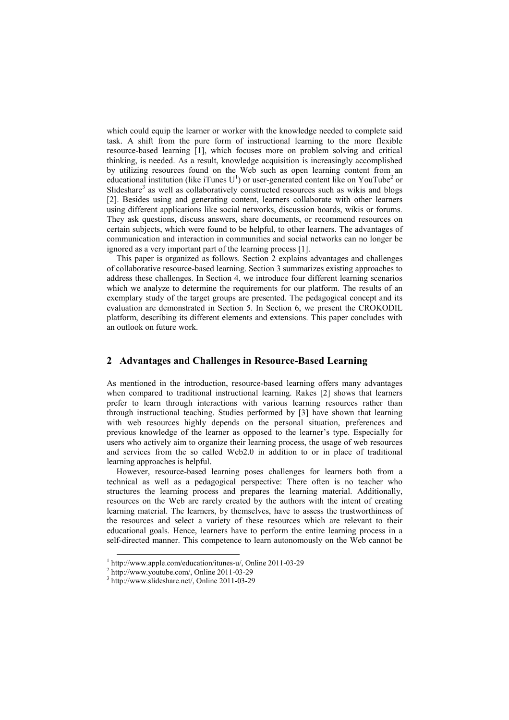which could equip the learner or worker with the knowledge needed to complete said task. A shift from the pure form of instructional learning to the more flexible resource-based learning [1], which focuses more on problem solving and critical thinking, is needed. As a result, knowledge acquisition is increasingly accomplished by utilizing resources found on the Web such as open learning content from an educational institution (like iTunes  $U^1$ ) or user-generated content like on YouTube<sup>2</sup> or Slideshare<sup>3</sup> as well as collaboratively constructed resources such as wikis and blogs [2]. Besides using and generating content, learners collaborate with other learners using different applications like social networks, discussion boards, wikis or forums. They ask questions, discuss answers, share documents, or recommend resources on certain subjects, which were found to be helpful, to other learners. The advantages of communication and interaction in communities and social networks can no longer be ignored as a very important part of the learning process [1].

This paper is organized as follows. Section 2 explains advantages and challenges of collaborative resource-based learning. Section 3 summarizes existing approaches to address these challenges. In Section 4, we introduce four different learning scenarios which we analyze to determine the requirements for our platform. The results of an exemplary study of the target groups are presented. The pedagogical concept and its evaluation are demonstrated in Section 5. In Section 6, we present the CROKODIL platform, describing its different elements and extensions. This paper concludes with an outlook on future work.

# **2 Advantages and Challenges in Resource-Based Learning**

As mentioned in the introduction, resource-based learning offers many advantages when compared to traditional instructional learning. Rakes [2] shows that learners prefer to learn through interactions with various learning resources rather than through instructional teaching. Studies performed by [3] have shown that learning with web resources highly depends on the personal situation, preferences and previous knowledge of the learner as opposed to the learner's type. Especially for users who actively aim to organize their learning process, the usage of web resources and services from the so called Web2.0 in addition to or in place of traditional learning approaches is helpful.

However, resource-based learning poses challenges for learners both from a technical as well as a pedagogical perspective: There often is no teacher who structures the learning process and prepares the learning material. Additionally, resources on the Web are rarely created by the authors with the intent of creating learning material. The learners, by themselves, have to assess the trustworthiness of the resources and select a variety of these resources which are relevant to their educational goals. Hence, learners have to perform the entire learning process in a self-directed manner. This competence to learn autonomously on the Web cannot be

 1 http://www.apple.com/education/itunes-u/, Online 2011-03-29

<sup>2</sup> http://www.youtube.com/, Online 2011-03-29

<sup>3</sup> http://www.slideshare.net/, Online 2011-03-29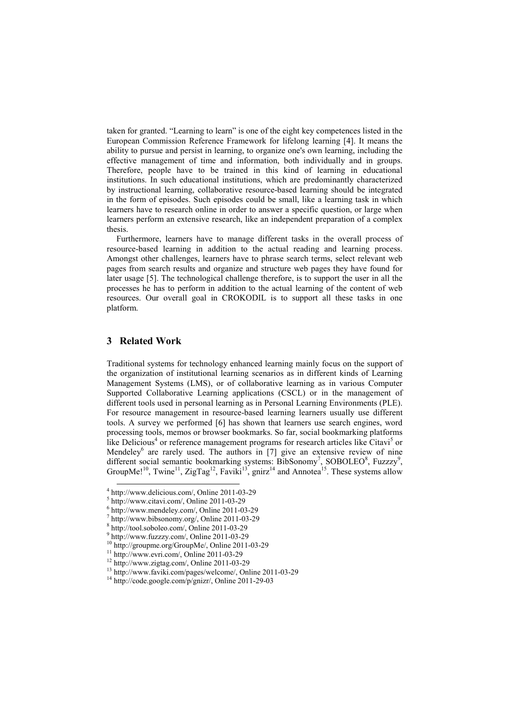taken for granted. "Learning to learn" is one of the eight key competences listed in the European Commission Reference Framework for lifelong learning [4]. It means the ability to pursue and persist in learning, to organize one's own learning, including the effective management of time and information, both individually and in groups. Therefore, people have to be trained in this kind of learning in educational institutions. In such educational institutions, which are predominantly characterized by instructional learning, collaborative resource-based learning should be integrated in the form of episodes. Such episodes could be small, like a learning task in which learners have to research online in order to answer a specific question, or large when learners perform an extensive research, like an independent preparation of a complex thesis.

Furthermore, learners have to manage different tasks in the overall process of resource-based learning in addition to the actual reading and learning process. Amongst other challenges, learners have to phrase search terms, select relevant web pages from search results and organize and structure web pages they have found for later usage [5]. The technological challenge therefore, is to support the user in all the processes he has to perform in addition to the actual learning of the content of web resources. Our overall goal in CROKODIL is to support all these tasks in one platform.

# **3 Related Work**

 $\overline{a}$ 

Traditional systems for technology enhanced learning mainly focus on the support of the organization of institutional learning scenarios as in different kinds of Learning Management Systems (LMS), or of collaborative learning as in various Computer Supported Collaborative Learning applications (CSCL) or in the management of different tools used in personal learning as in Personal Learning Environments (PLE). For resource management in resource-based learning learners usually use different tools. A survey we performed [6] has shown that learners use search engines, word processing tools, memos or browser bookmarks. So far, social bookmarking platforms like Delicious<sup>4</sup> or reference management programs for research articles like Citavi<sup>5</sup> or Mendeley<sup>6</sup> are rarely used. The authors in [7] give an extensive review of nine different social semantic bookmarking systems: BibSonomy<sup>7</sup>, SOBOLEO<sup>8</sup>, Fuzzzy<sup>9</sup>, GroupMe!<sup>10</sup>, Twine<sup>11</sup>, ZigTag<sup>12</sup>, Faviki<sup>13</sup>, gnirz<sup>14</sup> and Annotea<sup>15</sup>. These systems allow

<sup>4</sup> http://www.delicious.com/, Online 2011-03-29

<sup>5</sup> http://www.citavi.com/, Online 2011-03-29

<sup>6</sup> http://www.mendeley.com/, Online 2011-03-29

<sup>7</sup> http://www.bibsonomy.org/, Online 2011-03-29

<sup>8</sup> http://tool.soboleo.com/, Online 2011-03-29

<sup>9</sup> http://www.fuzzzy.com/, Online 2011-03-29

<sup>10</sup> http://groupme.org/GroupMe/, Online 2011-03-29

<sup>11</sup> http://www.evri.com/, Online 2011-03-29

<sup>12</sup> http://www.zigtag.com/, Online 2011-03-29

<sup>13</sup> http://www.faviki.com/pages/welcome/, Online 2011-03-29

 $14 \text{ http://code.google.com/p/gnizr/}$ , Online 2011-29-03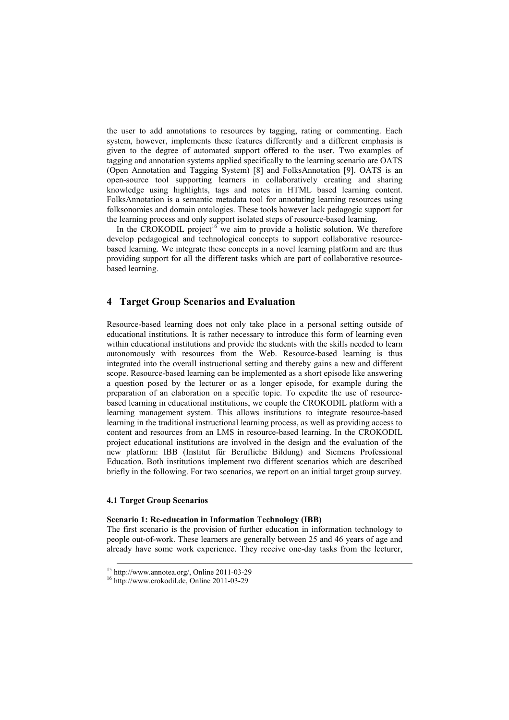the user to add annotations to resources by tagging, rating or commenting. Each system, however, implements these features differently and a different emphasis is given to the degree of automated support offered to the user. Two examples of tagging and annotation systems applied specifically to the learning scenario are OATS (Open Annotation and Tagging System) [8] and FolksAnnotation [9]. OATS is an open-source tool supporting learners in collaboratively creating and sharing knowledge using highlights, tags and notes in HTML based learning content. FolksAnnotation is a semantic metadata tool for annotating learning resources using folksonomies and domain ontologies. These tools however lack pedagogic support for the learning process and only support isolated steps of resource-based learning.

In the CROKODIL project<sup>16</sup> we aim to provide a holistic solution. We therefore develop pedagogical and technological concepts to support collaborative resourcebased learning. We integrate these concepts in a novel learning platform and are thus providing support for all the different tasks which are part of collaborative resourcebased learning.

# **4 Target Group Scenarios and Evaluation**

Resource-based learning does not only take place in a personal setting outside of educational institutions. It is rather necessary to introduce this form of learning even within educational institutions and provide the students with the skills needed to learn autonomously with resources from the Web. Resource-based learning is thus integrated into the overall instructional setting and thereby gains a new and different scope. Resource-based learning can be implemented as a short episode like answering a question posed by the lecturer or as a longer episode, for example during the preparation of an elaboration on a specific topic. To expedite the use of resourcebased learning in educational institutions, we couple the CROKODIL platform with a learning management system. This allows institutions to integrate resource-based learning in the traditional instructional learning process, as well as providing access to content and resources from an LMS in resource-based learning. In the CROKODIL project educational institutions are involved in the design and the evaluation of the new platform: IBB (Institut für Berufliche Bildung) and Siemens Professional Education. Both institutions implement two different scenarios which are described briefly in the following. For two scenarios, we report on an initial target group survey.

# **4.1 Target Group Scenarios**

 $\overline{a}$ 

### **Scenario 1: Re-education in Information Technology (IBB)**

The first scenario is the provision of further education in information technology to people out-of-work. These learners are generally between 25 and 46 years of age and already have some work experience. They receive one-day tasks from the lecturer,

<sup>15</sup> http://www.annotea.org/, Online 2011-03-29

<sup>16</sup> http://www.crokodil.de, Online 2011-03-29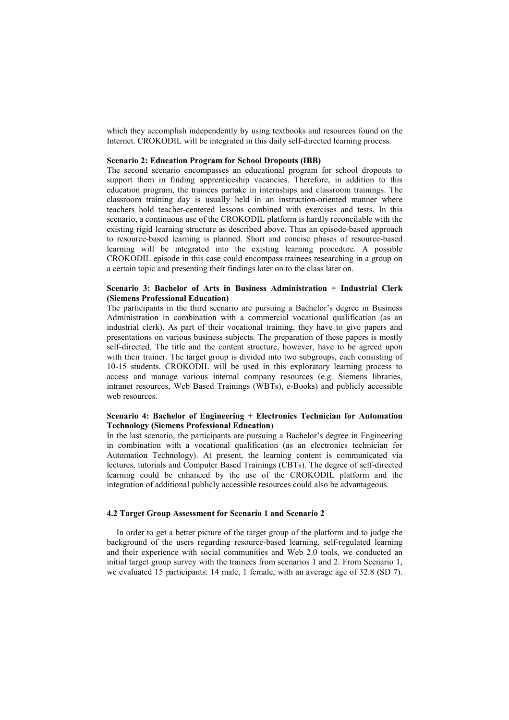which they accomplish independently by using textbooks and resources found on the Internet. CROKODIL will be integrated in this daily self-directed learning process.

#### **Scenario 2: Education Program for School Dropouts (IBB)**

The second scenario encompasses an educational program for school dropouts to support them in finding apprenticeship vacancies. Therefore, in addition to this education program, the trainees partake in internships and classroom trainings. The classroom training day is usually held in an instruction-oriented manner where teachers hold teacher-centered lessons combined with exercises and tests. In this scenario, a continuous use of the CROKODIL platform is hardly reconcilable with the existing rigid learning structure as described above. Thus an episode-based approach to resource-based learning is planned. Short and concise phases of resource-based learning will be integrated into the existing learning procedure. A possible CROKODIL episode in this case could encompass trainees researching in a group on a certain topic and presenting their findings later on to the class later on.

### **Scenario 3: Bachelor of Arts in Business Administration + Industrial Clerk (Siemens Professional Education)**

The participants in the third scenario are pursuing a Bachelor's degree in Business Administration in combination with a commercial vocational qualification (as an industrial clerk). As part of their vocational training, they have to give papers and presentations on various business subjects. The preparation of these papers is mostly self-directed. The title and the content structure, however, have to be agreed upon with their trainer. The target group is divided into two subgroups, each consisting of 10-15 students. CROKODIL will be used in this exploratory learning process to access and manage various internal company resources (e.g. Siemens libraries, intranet resources, Web Based Trainings (WBTs), e-Books) and publicly accessible web resources.

### **Scenario 4: Bachelor of Engineering + Electronics Technician for Automation Technology (Siemens Professional Education**)

In the last scenario, the participants are pursuing a Bachelor's degree in Engineering in combination with a vocational qualification (as an electronics technician for Automation Technology). At present, the learning content is communicated via lectures, tutorials and Computer Based Trainings (CBTs). The degree of self-directed learning could be enhanced by the use of the CROKODIL platform and the integration of additional publicly accessible resources could also be advantageous.

### **4.2 Target Group Assessment for Scenario 1 and Scenario 2**

In order to get a better picture of the target group of the platform and to judge the background of the users regarding resource-based learning, self-regulated learning and their experience with social communities and Web 2.0 tools, we conducted an initial target group survey with the trainees from scenarios 1 and 2. From Scenario 1, we evaluated 15 participants: 14 male, 1 female, with an average age of 32.8 (SD 7).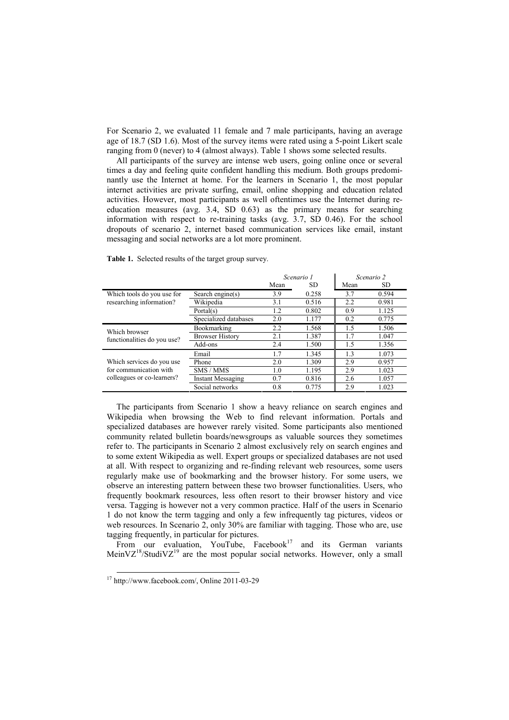For Scenario 2, we evaluated 11 female and 7 male participants, having an average age of 18.7 (SD 1.6). Most of the survey items were rated using a 5-point Likert scale ranging from 0 (never) to 4 (almost always). Table 1 shows some selected results.

All participants of the survey are intense web users, going online once or several times a day and feeling quite confident handling this medium. Both groups predominantly use the Internet at home. For the learners in Scenario 1, the most popular internet activities are private surfing, email, online shopping and education related activities. However, most participants as well oftentimes use the Internet during reeducation measures (avg. 3.4, SD 0.63) as the primary means for searching information with respect to re-training tasks (avg. 3.7, SD 0.46). For the school dropouts of scenario 2, internet based communication services like email, instant messaging and social networks are a lot more prominent.

|                                                                                   |                          | Scenario 1 |       | Scenario 2 |       |
|-----------------------------------------------------------------------------------|--------------------------|------------|-------|------------|-------|
|                                                                                   |                          | Mean       | SD    | Mean       | SD.   |
| Which tools do you use for                                                        | Search engine $(s)$      | 3.9        | 0.258 | 3.7        | 0.594 |
| researching information?                                                          | Wikipedia                | 3.1        | 0.516 | 2.2        | 0.981 |
|                                                                                   | Portal(s)                | 1.2        | 0.802 | 0.9        | 1.125 |
|                                                                                   | Specialized databases    | 2.0        | 1.177 | 0.2        | 0.775 |
| Which browser<br>functionalities do you use?                                      | Bookmarking              | 2.2        | 1.568 | 1.5        | 1.506 |
|                                                                                   | <b>Browser History</b>   | 2.1        | 1.387 |            | 1.047 |
|                                                                                   | Add-ons                  | 2.4        | 1.500 | 1.5        | 1.356 |
|                                                                                   | Email                    | 1.7        | 1.345 | 1.3        | 1.073 |
| Which services do you use<br>for communication with<br>colleagues or co-learners? | Phone                    | 2.0        | 1.309 | 2.9        | 0.957 |
|                                                                                   | SMS / MMS                | 1.0        | 1.195 | 2.9        | 1.023 |
|                                                                                   | <b>Instant Messaging</b> | 0.7        | 0.816 | 2.6        | 1.057 |
|                                                                                   | Social networks          | 0.8        | 0.775 | 2.9        | 1.023 |

**Table 1.** Selected results of the target group survey.

The participants from Scenario 1 show a heavy reliance on search engines and Wikipedia when browsing the Web to find relevant information. Portals and specialized databases are however rarely visited. Some participants also mentioned community related bulletin boards/newsgroups as valuable sources they sometimes refer to. The participants in Scenario 2 almost exclusively rely on search engines and to some extent Wikipedia as well. Expert groups or specialized databases are not used at all. With respect to organizing and re-finding relevant web resources, some users regularly make use of bookmarking and the browser history. For some users, we observe an interesting pattern between these two browser functionalities. Users, who frequently bookmark resources, less often resort to their browser history and vice versa. Tagging is however not a very common practice. Half of the users in Scenario 1 do not know the term tagging and only a few infrequently tag pictures, videos or web resources. In Scenario 2, only 30% are familiar with tagging. Those who are, use tagging frequently, in particular for pictures.

From our evaluation, YouTube, Facebook<sup>17</sup> and its German variants MeinVZ<sup>18</sup>/StudiVZ<sup>19</sup> are the most popular social networks. However, only a small

 $17$  http://www.facebook.com/, Online 2011-03-29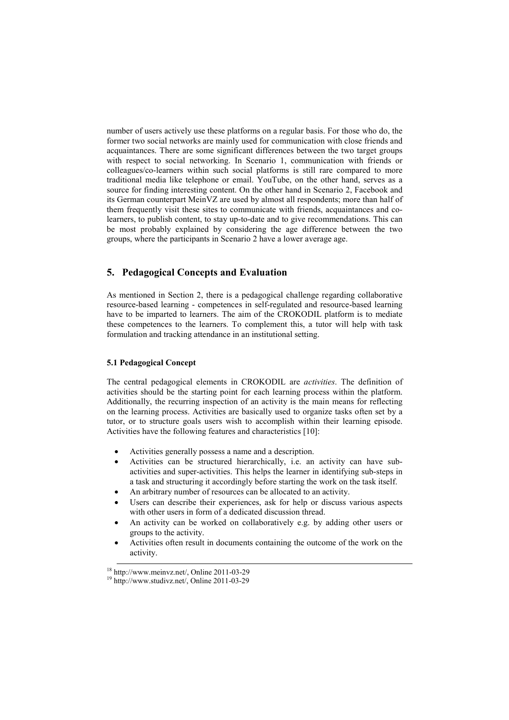number of users actively use these platforms on a regular basis. For those who do, the former two social networks are mainly used for communication with close friends and acquaintances. There are some significant differences between the two target groups with respect to social networking. In Scenario 1, communication with friends or colleagues/co-learners within such social platforms is still rare compared to more traditional media like telephone or email. YouTube, on the other hand, serves as a source for finding interesting content. On the other hand in Scenario 2, Facebook and its German counterpart MeinVZ are used by almost all respondents; more than half of them frequently visit these sites to communicate with friends, acquaintances and colearners, to publish content, to stay up-to-date and to give recommendations. This can be most probably explained by considering the age difference between the two groups, where the participants in Scenario 2 have a lower average age.

# **5. Pedagogical Concepts and Evaluation**

As mentioned in Section 2, there is a pedagogical challenge regarding collaborative resource-based learning - competences in self-regulated and resource-based learning have to be imparted to learners. The aim of the CROKODIL platform is to mediate these competences to the learners. To complement this, a tutor will help with task formulation and tracking attendance in an institutional setting.

# **5.1 Pedagogical Concept**

The central pedagogical elements in CROKODIL are *activities*. The definition of activities should be the starting point for each learning process within the platform. Additionally, the recurring inspection of an activity is the main means for reflecting on the learning process. Activities are basically used to organize tasks often set by a tutor, or to structure goals users wish to accomplish within their learning episode. Activities have the following features and characteristics [10]:

- Activities generally possess a name and a description.
- Activities can be structured hierarchically, i.e. an activity can have subactivities and super-activities. This helps the learner in identifying sub-steps in a task and structuring it accordingly before starting the work on the task itself.
- An arbitrary number of resources can be allocated to an activity.
- Users can describe their experiences, ask for help or discuss various aspects with other users in form of a dedicated discussion thread.
- An activity can be worked on collaboratively e.g. by adding other users or groups to the activity.
- Activities often result in documents containing the outcome of the work on the activity.

<sup>18</sup> http://www.meinvz.net/, Online 2011-03-29

<sup>19</sup> http://www.studivz.net/, Online 2011-03-29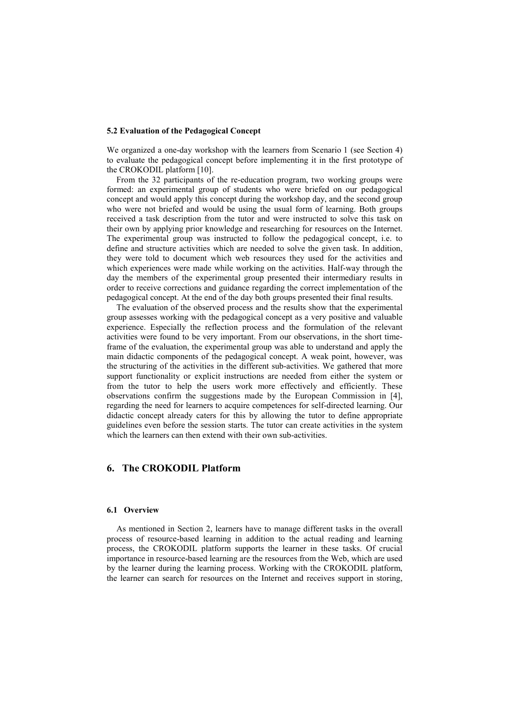### **5.2 Evaluation of the Pedagogical Concept**

We organized a one-day workshop with the learners from Scenario 1 (see Section 4) to evaluate the pedagogical concept before implementing it in the first prototype of the CROKODIL platform [10].

From the 32 participants of the re-education program, two working groups were formed: an experimental group of students who were briefed on our pedagogical concept and would apply this concept during the workshop day, and the second group who were not briefed and would be using the usual form of learning. Both groups received a task description from the tutor and were instructed to solve this task on their own by applying prior knowledge and researching for resources on the Internet. The experimental group was instructed to follow the pedagogical concept, i.e. to define and structure activities which are needed to solve the given task. In addition, they were told to document which web resources they used for the activities and which experiences were made while working on the activities. Half-way through the day the members of the experimental group presented their intermediary results in order to receive corrections and guidance regarding the correct implementation of the pedagogical concept. At the end of the day both groups presented their final results.

The evaluation of the observed process and the results show that the experimental group assesses working with the pedagogical concept as a very positive and valuable experience. Especially the reflection process and the formulation of the relevant activities were found to be very important. From our observations, in the short timeframe of the evaluation, the experimental group was able to understand and apply the main didactic components of the pedagogical concept. A weak point, however, was the structuring of the activities in the different sub-activities. We gathered that more support functionality or explicit instructions are needed from either the system or from the tutor to help the users work more effectively and efficiently. These observations confirm the suggestions made by the European Commission in [4], regarding the need for learners to acquire competences for self-directed learning. Our didactic concept already caters for this by allowing the tutor to define appropriate guidelines even before the session starts. The tutor can create activities in the system which the learners can then extend with their own sub-activities.

# **6. The CROKODIL Platform**

# **6.1 Overview**

As mentioned in Section 2, learners have to manage different tasks in the overall process of resource-based learning in addition to the actual reading and learning process, the CROKODIL platform supports the learner in these tasks. Of crucial importance in resource-based learning are the resources from the Web, which are used by the learner during the learning process. Working with the CROKODIL platform, the learner can search for resources on the Internet and receives support in storing,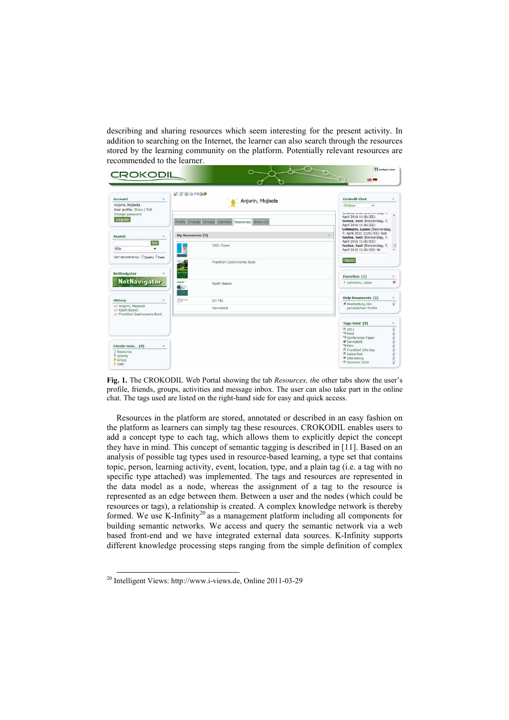describing and sharing resources which seem interesting for the present activity. In addition to searching on the Internet, the learner can also search through the resources stored by the learning community on the platform. Potentially relevant resources are recommended to the learner.

| CROKODIL                                                                    |                                        |                                       | <b>Co</b> intelligent views<br><b>BB</b>                                                                                                                           |                               |
|-----------------------------------------------------------------------------|----------------------------------------|---------------------------------------|--------------------------------------------------------------------------------------------------------------------------------------------------------------------|-------------------------------|
| <b>Account</b>                                                              | 日本のこのみ                                 | Anjorin, Mojisola                     | Crokodil-Chat                                                                                                                                                      |                               |
| Anjorin, Mojisola<br>User profile: Show / Edit<br>Change password           |                                        |                                       | Online<br>٠<br>manuer man pourrouving re-                                                                                                                          |                               |
| Log out                                                                     | Friends<br>Profile                     | Groups Activities Resources Inbox (0) | April 2011 11:01:22):<br>tester, test (Donnerstag, 7.<br>April 2011 11:01:22):<br>Lehmann, Lasse (Donnerstag,                                                      |                               |
| Search                                                                      | My Resources (5)                       |                                       | 7. April 2011 11:01:43): test<br>$\mathcal{L}$<br>tester, test (Donnerstag, 7.<br>April 2011 11:01:53):                                                            |                               |
| Start<br>Alle                                                               |                                        | <b>GKEL Paper</b>                     | tester, test (Donnerstag, 7.<br>April 2011 11:01:53): ttt                                                                                                          | u<br>$\overline{\phantom{a}}$ |
| Sort documents by: OQuality ODate                                           |                                        | Frankfurt Gastronomie Book            | Send                                                                                                                                                               |                               |
| <b>NetNavigator</b>                                                         | nuring                                 |                                       | Favorites (1)                                                                                                                                                      |                               |
| <b>NetNavigator</b>                                                         | $\bullet$ .<br>$\lambda$               | Koath Basics                          | <i><b>A</b></i> Lehmann, Lasse                                                                                                                                     | ×                             |
| <b>History</b>                                                              | $\widetilde{\mathbf{N}}$ are<br>small. | EC-TEL                                | <b>Help Documents (1)</b>                                                                                                                                          |                               |
| cz Anjorin, Mojisola<br>C Kpath Basics<br>Z Frankfurt Gastronomie Book      |                                        | Darmstadt                             | Bearbeitung des<br>persönlichen Profils                                                                                                                            | ø                             |
|                                                                             |                                        |                                       | Taqs Used (9)                                                                                                                                                      |                               |
| Create new (4)<br>Resource<br>? Activity<br><b>K</b> Group<br><b>N</b> User |                                        |                                       | 图 2011<br>book<br>Conference Paper<br>$d$ darmstadt<br><sup>9</sup> Film<br><sup>m</sup> Frankfurt Info Day<br><b>E</b> Heinerfest<br>+ Interesting<br>Sommer 2010 | 00000000000                   |

**Fig. 1.** The CROKODIL Web Portal showing the tab *Resources, th*e other tabs show the user's profile, friends, groups, activities and message inbox. The user can also take part in the online chat. The tags used are listed on the right-hand side for easy and quick access.

Resources in the platform are stored, annotated or described in an easy fashion on the platform as learners can simply tag these resources. CROKODIL enables users to add a concept type to each tag, which allows them to explicitly depict the concept they have in mind. This concept of semantic tagging is described in [11]. Based on an analysis of possible tag types used in resource-based learning, a type set that contains topic, person, learning activity, event, location, type, and a plain tag (i.e. a tag with no specific type attached) was implemented. The tags and resources are represented in the data model as a node, whereas the assignment of a tag to the resource is represented as an edge between them. Between a user and the nodes (which could be resources or tags), a relationship is created. A complex knowledge network is thereby formed. We use K-Infinity<sup>20</sup> as a management platform including all components for building semantic networks. We access and query the semantic network via a web based front-end and we have integrated external data sources. K-Infinity supports different knowledge processing steps ranging from the simple definition of complex

<sup>&</sup>lt;sup>20</sup> Intelligent Views: http://www.i-views.de, Online 2011-03-29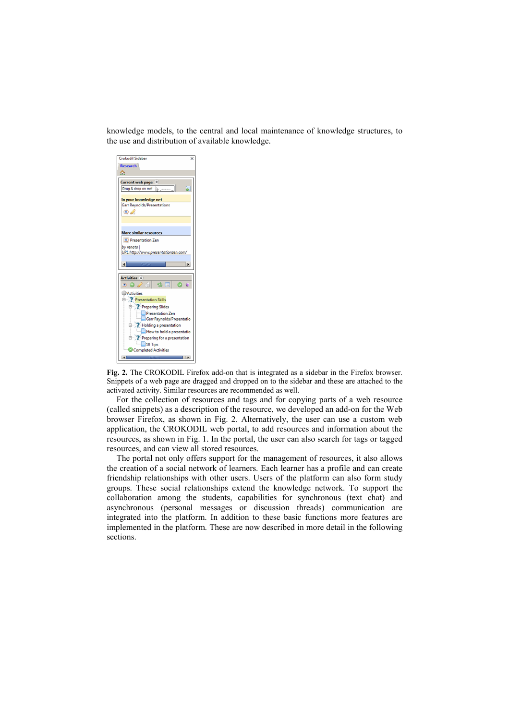knowledge models, to the central and local maintenance of knowledge structures, to the use and distribution of available knowledge.

| Crokodil Sidebar<br>×                                                  |
|------------------------------------------------------------------------|
| <b>Research</b>                                                        |
| ΩŁ                                                                     |
| Current web page $\hat{a}$<br>Б<br>Drag & drop on me!                  |
| In your knowledge net<br><b>Garr Reynolds/Presentations</b><br>$\circ$ |
| <b>More similar resources</b>                                          |
| Presentation Zen<br>by renato l<br>URL:http://www.presentationzen.com/ |
| ٠                                                                      |
| Activities <sup>2</sup>                                                |
| $\odot$                                                                |
| Activities<br><b>E-2-Presentation Skills</b>                           |
| <b>E-2-Preparing Slides</b>                                            |
| <b>Presentation Zen</b><br>Garr Reynolds/Presentatio                   |
| <b>E-2</b> Holding a presentation                                      |
| How to hold a presentatio                                              |
| <b>E-2</b> -Preparing for a presentation<br>$10$ Tips                  |
| Completed Activities                                                   |
| $\overline{\phantom{a}}$                                               |

**Fig. 2.** The CROKODIL Firefox add-on that is integrated as a sidebar in the Firefox browser. Snippets of a web page are dragged and dropped on to the sidebar and these are attached to the activated activity. Similar resources are recommended as well.

For the collection of resources and tags and for copying parts of a web resource (called snippets) as a description of the resource, we developed an add-on for the Web browser Firefox, as shown in Fig. 2. Alternatively, the user can use a custom web application, the CROKODIL web portal, to add resources and information about the resources, as shown in Fig. 1. In the portal, the user can also search for tags or tagged resources, and can view all stored resources.

The portal not only offers support for the management of resources, it also allows the creation of a social network of learners. Each learner has a profile and can create friendship relationships with other users. Users of the platform can also form study groups. These social relationships extend the knowledge network. To support the collaboration among the students, capabilities for synchronous (text chat) and asynchronous (personal messages or discussion threads) communication are integrated into the platform. In addition to these basic functions more features are implemented in the platform. These are now described in more detail in the following sections.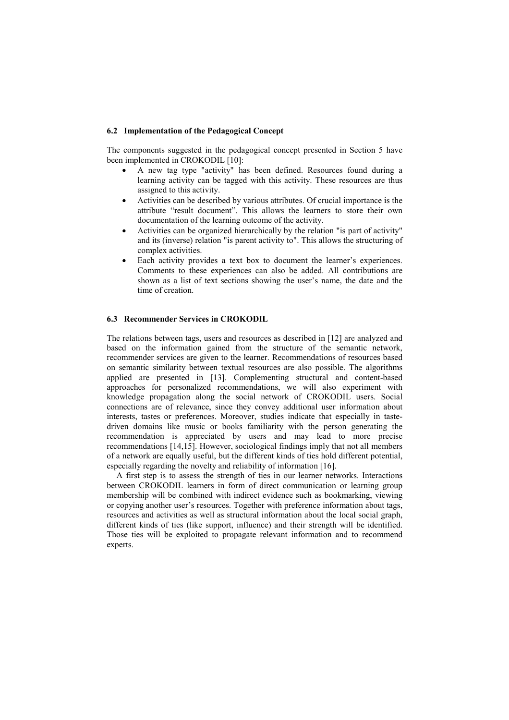### **6.2 Implementation of the Pedagogical Concept**

The components suggested in the pedagogical concept presented in Section 5 have been implemented in CROKODIL [10]:

- A new tag type "activity" has been defined. Resources found during a learning activity can be tagged with this activity. These resources are thus assigned to this activity.
- Activities can be described by various attributes. Of crucial importance is the attribute "result document". This allows the learners to store their own documentation of the learning outcome of the activity.
- Activities can be organized hierarchically by the relation "is part of activity" and its (inverse) relation "is parent activity to". This allows the structuring of complex activities.
- Each activity provides a text box to document the learner's experiences. Comments to these experiences can also be added. All contributions are shown as a list of text sections showing the user's name, the date and the time of creation.

### **6.3 Recommender Services in CROKODIL**

The relations between tags, users and resources as described in [12] are analyzed and based on the information gained from the structure of the semantic network, recommender services are given to the learner. Recommendations of resources based on semantic similarity between textual resources are also possible. The algorithms applied are presented in [13]. Complementing structural and content-based approaches for personalized recommendations, we will also experiment with knowledge propagation along the social network of CROKODIL users. Social connections are of relevance, since they convey additional user information about interests, tastes or preferences. Moreover, studies indicate that especially in tastedriven domains like music or books familiarity with the person generating the recommendation is appreciated by users and may lead to more precise recommendations [14,15]. However, sociological findings imply that not all members of a network are equally useful, but the different kinds of ties hold different potential, especially regarding the novelty and reliability of information [16].

A first step is to assess the strength of ties in our learner networks. Interactions between CROKODIL learners in form of direct communication or learning group membership will be combined with indirect evidence such as bookmarking, viewing or copying another user's resources. Together with preference information about tags, resources and activities as well as structural information about the local social graph, different kinds of ties (like support, influence) and their strength will be identified. Those ties will be exploited to propagate relevant information and to recommend experts.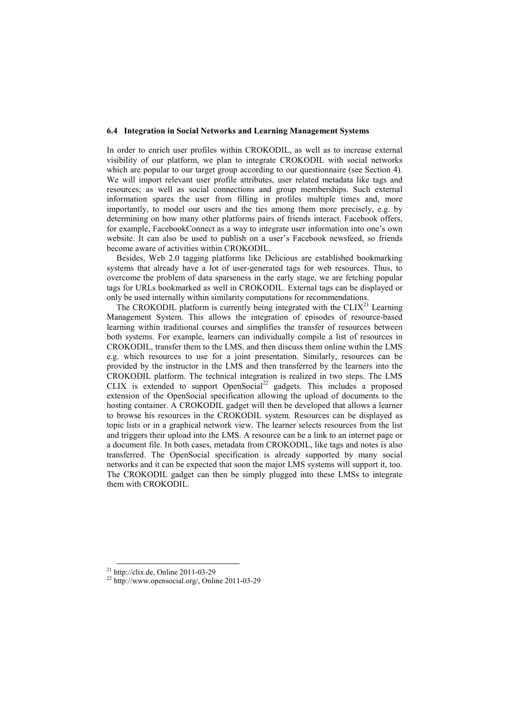### **6.4 Integration in Social Networks and Learning Management Systems**

In order to enrich user profiles within CROKODIL, as well as to increase external visibility of our platform, we plan to integrate CROKODIL with social networks which are popular to our target group according to our questionnaire (see Section 4). We will import relevant user profile attributes, user related metadata like tags and resources; as well as social connections and group memberships. Such external information spares the user from filling in profiles multiple times and, more importantly, to model our users and the ties among them more precisely, e.g. by determining on how many other platforms pairs of friends interact. Facebook offers, for example, FacebookConnect as a way to integrate user information into one's own website. It can also be used to publish on a user's Facebook newsfeed, so friends become aware of activities within CROKODIL.

Besides, Web 2.0 tagging platforms like Delicious are established bookmarking systems that already have a lot of user-generated tags for web resources. Thus, to overcome the problem of data sparseness in the early stage, we are fetching popular tags for URLs bookmarked as well in CROKODIL. External tags can be displayed or only be used internally within similarity computations for recommendations.

The CROKODIL platform is currently being integrated with the  $CLIX<sup>21</sup>$  Learning Management System. This allows the integration of episodes of resource-based learning within traditional courses and simplifies the transfer of resources between both systems. For example, learners can individually compile a list of resources in CROKODIL, transfer them to the LMS, and then discuss them online within the LMS e.g. which resources to use for a joint presentation. Similarly, resources can be provided by the instructor in the LMS and then transferred by the learners into the CROKODIL platform. The technical integration is realized in two steps. The LMS CLIX is extended to support OpenSocial<sup>22</sup> gadgets. This includes a proposed extension of the OpenSocial specification allowing the upload of documents to the hosting container. A CROKODIL gadget will then be developed that allows a learner to browse his resources in the CROKODIL system. Resources can be displayed as topic lists or in a graphical network view. The learner selects resources from the list and triggers their upload into the LMS. A resource can be a link to an internet page or a document file. In both cases, metadata from CROKODIL, like tags and notes is also transferred. The OpenSocial specification is already supported by many social networks and it can be expected that soon the major LMS systems will support it, too. The CROKODIL gadget can then be simply plugged into these LMSs to integrate them with CROKODIL.

 $^{21}$  http://clix.de, Online 2011-03-29

<sup>22</sup> http://www.opensocial.org/, Online 2011-03-29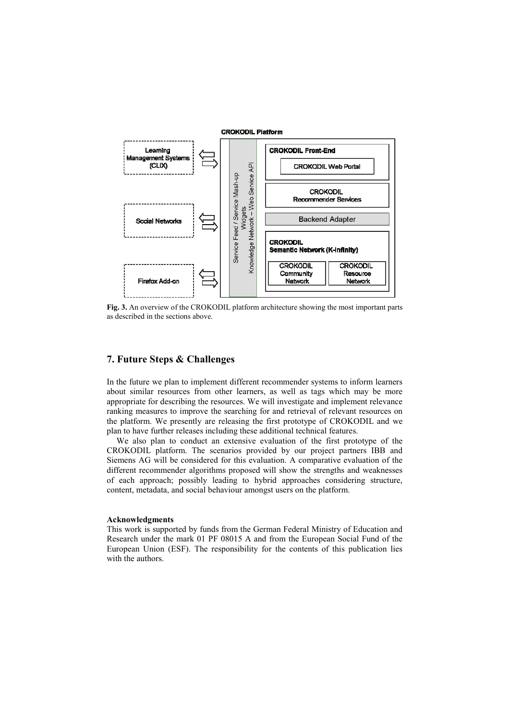

**Fig. 3.** An overview of the CROKODIL platform architecture showing the most important parts as described in the sections above.

# **7. Future Steps & Challenges**

In the future we plan to implement different recommender systems to inform learners about similar resources from other learners, as well as tags which may be more appropriate for describing the resources. We will investigate and implement relevance ranking measures to improve the searching for and retrieval of relevant resources on the platform. We presently are releasing the first prototype of CROKODIL and we plan to have further releases including these additional technical features.

We also plan to conduct an extensive evaluation of the first prototype of the CROKODIL platform. The scenarios provided by our project partners IBB and Siemens AG will be considered for this evaluation. A comparative evaluation of the different recommender algorithms proposed will show the strengths and weaknesses of each approach; possibly leading to hybrid approaches considering structure, content, metadata, and social behaviour amongst users on the platform.

#### **Acknowledgments**

This work is supported by funds from the German Federal Ministry of Education and Research under the mark 01 PF 08015 A and from the European Social Fund of the European Union (ESF). The responsibility for the contents of this publication lies with the authors.